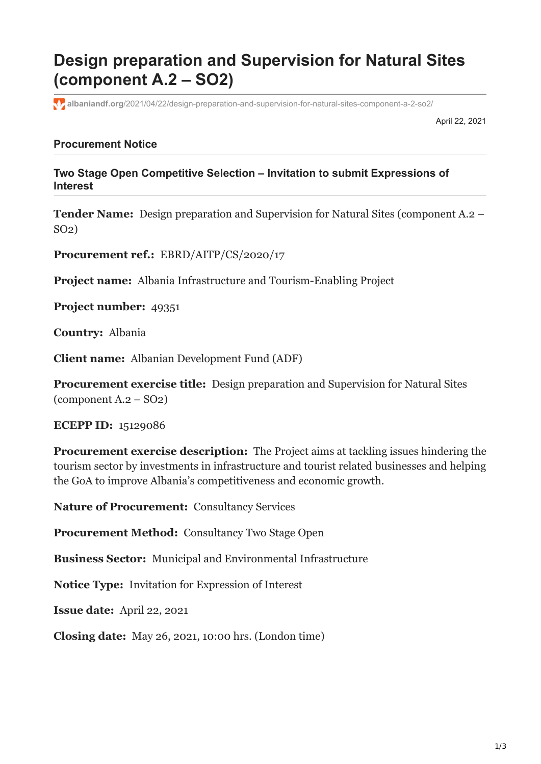## **Design preparation and Supervision for Natural Sites (component A.2 – SO2)**

**albaniandf.org**[/2021/04/22/design-preparation-and-supervision-for-natural-sites-component-a-2-so2/](https://www.albaniandf.org/2021/04/22/design-preparation-and-supervision-for-natural-sites-component-a-2-so2/)

April 22, 2021

## **Procurement Notice**

**Two Stage Open Competitive Selection – Invitation to submit Expressions of Interest**

**Tender Name:** Design preparation and Supervision for Natural Sites (component A.2 – SO2)

**Procurement ref.:** EBRD/AITP/CS/2020/17

**Project name:** Albania Infrastructure and Tourism-Enabling Project

**Project number:** 49351

**Country:** Albania

**Client name:** Albanian Development Fund (ADF)

**Procurement exercise title:** Design preparation and Supervision for Natural Sites (component A.2 – SO2)

**ECEPP ID:** 15129086

**Procurement exercise description:** The Project aims at tackling issues hindering the tourism sector by investments in infrastructure and tourist related businesses and helping the GoA to improve Albania's competitiveness and economic growth.

**Nature of Procurement:** Consultancy Services

**Procurement Method:** Consultancy Two Stage Open

**Business Sector:** Municipal and Environmental Infrastructure

**Notice Type:** Invitation for Expression of Interest

**Issue date:** April 22, 2021

**Closing date:** May 26, 2021, 10:00 hrs. (London time)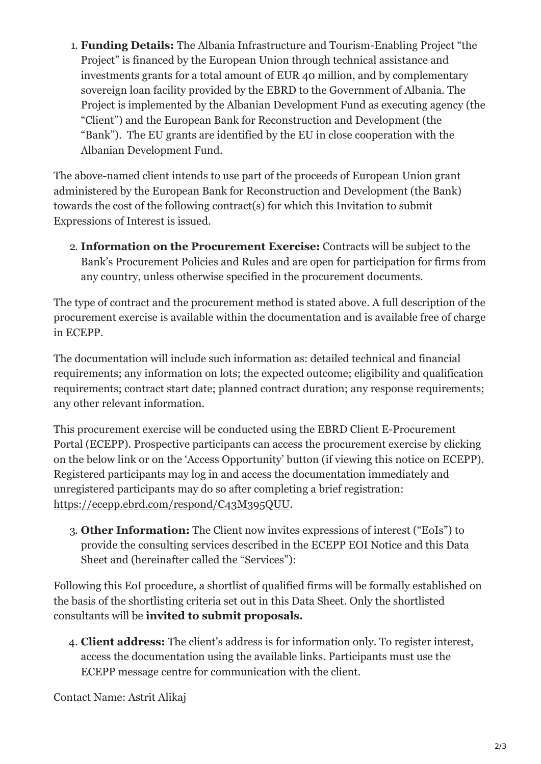1. **Funding Details:** The Albania Infrastructure and Tourism-Enabling Project "the Project" is financed by the European Union through technical assistance and investments grants for a total amount of EUR 40 million, and by complementary sovereign loan facility provided by the EBRD to the Government of Albania. The Project is implemented by the Albanian Development Fund as executing agency (the "Client") and the European Bank for Reconstruction and Development (the "Bank"). The EU grants are identified by the EU in close cooperation with the Albanian Development Fund.

The above-named client intends to use part of the proceeds of European Union grant administered by the European Bank for Reconstruction and Development (the Bank) towards the cost of the following contract(s) for which this Invitation to submit Expressions of Interest is issued.

2. **Information on the Procurement Exercise:** Contracts will be subject to the Bank's Procurement Policies and Rules and are open for participation for firms from any country, unless otherwise specified in the procurement documents.

The type of contract and the procurement method is stated above. A full description of the procurement exercise is available within the documentation and is available free of charge in ECEPP.

The documentation will include such information as: detailed technical and financial requirements; any information on lots; the expected outcome; eligibility and qualification requirements; contract start date; planned contract duration; any response requirements; any other relevant information.

This procurement exercise will be conducted using the EBRD Client E-Procurement Portal (ECEPP). Prospective participants can access the procurement exercise by clicking on the below link or on the 'Access Opportunity' button (if viewing this notice on ECEPP). Registered participants may log in and access the documentation immediately and unregistered participants may do so after completing a brief registration: <https://ecepp.ebrd.com/respond/C43M395QUU>.

3. **Other Information:** The Client now invites expressions of interest ("EoIs") to provide the consulting services described in the ECEPP EOI Notice and this Data Sheet and (hereinafter called the "Services"):

Following this EoI procedure, a shortlist of qualified firms will be formally established on the basis of the shortlisting criteria set out in this Data Sheet. Only the shortlisted consultants will be **invited to submit proposals.**

4. **Client address:** The client's address is for information only. To register interest, access the documentation using the available links. Participants must use the ECEPP message centre for communication with the client.

Contact Name: Astrit Alikaj